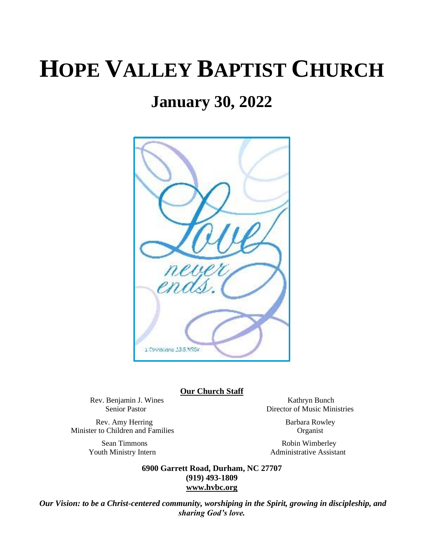# **HOPE VALLEY BAPTIST CHURCH**

## **January 30, 2022**



#### **Our Church Staff**

Rev. Benjamin J. Wines Kathryn Bunch<br>Senior Pastor Bunch<br>Director of Music Min

Director of Music Ministries

Rev. Amy Herring Barbara Rowley Minister to Children and Families Organist

Youth Ministry Intern **Administrative Assistant** 

Sean Timmons Robin Wimberley

**6900 Garrett Road, Durham, NC 27707 (919) 493-1809 [www.hvbc.org](https://nam02.safelinks.protection.outlook.com/?url=http%3A%2F%2Fwww.hvbc.org%2F&data=04%7C01%7Crobin%40hvbc.org%7Ca1947220efe048d45f2008d90f3f5013%7C19334143b857471a909f515a9e93cce3%7C0%7C0%7C637557586922368739%7CUnknown%7CTWFpbGZsb3d8eyJWIjoiMC4wLjAwMDAiLCJQIjoiV2luMzIiLCJBTiI6Ik1haWwiLCJXVCI6Mn0%3D%7C1000&sdata=vD8UY%2Ft%2Bw4fHfO%2FGyoDO3ShGm4jsX4L5zIVu36neNyk%3D&reserved=0)**

*Our Vision: to be a Christ-centered community, worshiping in the Spirit, growing in discipleship, and sharing God's love.*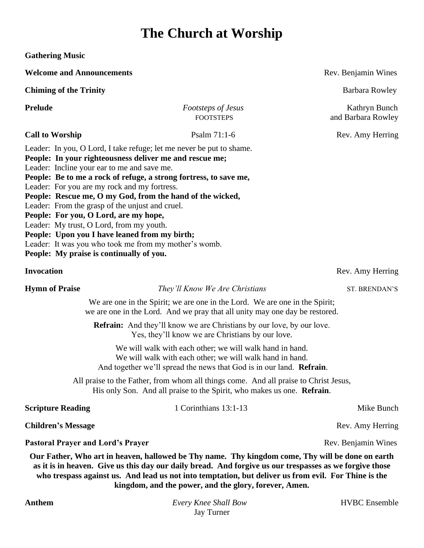## **The Church at Worship**

**Gathering Music**

**Welcome and Announcements Rev. Benjamin Wines Rev. Benjamin Wines Rev. Benjamin Wines Chiming of the Trinity** Barbara Rowley **Prelude** *Footsteps of Jesus* **<b>Kathryn Bunch** FOOTSTEPS and Barbara Rowley **Call to Worship** Psalm 71:1-6 Rev. Amy Herring Leader: In you, O Lord, I take refuge; let me never be put to shame. **People: In your righteousness deliver me and rescue me;** Leader: Incline your ear to me and save me. **People: Be to me a rock of refuge, a strong fortress, to save me,** Leader: For you are my rock and my fortress. **People: Rescue me, O my God, from the hand of the wicked,** Leader: From the grasp of the unjust and cruel. **People: For you, O Lord, are my hope,** Leader: My trust, O Lord, from my youth. **People: Upon you I have leaned from my birth;** Leader: It was you who took me from my mother's womb. **People: My praise is continually of you. Invocation** Rev. Amy Herring **Hymn of Praise** *They'll Know We Are Christians* **ST. BRENDAN'S** We are one in the Spirit; we are one in the Lord. We are one in the Spirit; we are one in the Lord. And we pray that all unity may one day be restored. **Refrain:** And they'll know we are Christians by our love, by our love. Yes, they'll know we are Christians by our love. We will walk with each other; we will walk hand in hand. We will walk with each other; we will walk hand in hand. And together we'll spread the news that God is in our land. **Refrain**. All praise to the Father, from whom all things come. And all praise to Christ Jesus, His only Son. And all praise to the Spirit, who makes us one. **Refrain**. **Scripture Reading**  1 Corinthians 13:1-13 Mike Bunch **Children's Message Service Structure in the Children's Message Service Structure in the Children's Message Service Structure in the Children's Message Service Structure in the Children Structure in the Children Structure Pastoral Prayer and Lord's Prayer Rev. Benjamin Wines Rev. Benjamin Wines Our Father, Who art in heaven, hallowed be Thy name. Thy kingdom come, Thy will be done on earth as it is in heaven. Give us this day our daily bread. And forgive us our trespasses as we forgive those who trespass against us. And lead us not into temptation, but deliver us from evil. For Thine is the kingdom, and the power, and the glory, forever, Amen. Anthem** *Every Knee Shall Bow* HVBC Ensemble Jay Turner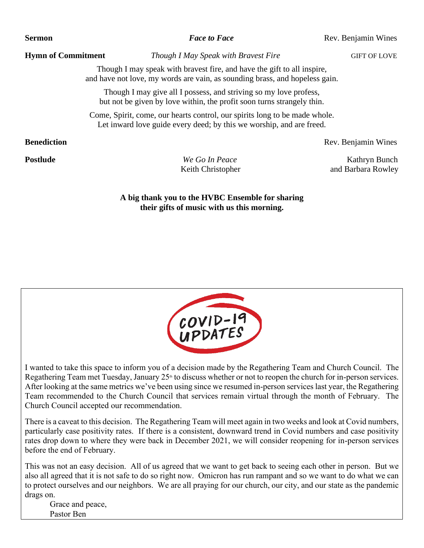| COVID-19                                                                                                                                                                                                                                                                                                                                                                                                                                                                                                                    |
|-----------------------------------------------------------------------------------------------------------------------------------------------------------------------------------------------------------------------------------------------------------------------------------------------------------------------------------------------------------------------------------------------------------------------------------------------------------------------------------------------------------------------------|
| I wanted to take this space to inform you of a decision made by the Regathering Team and Church Council. The<br>Regathering Team met Tuesday, January 25 <sup>th</sup> to discuss whether or not to reopen the church for in-person services.<br>After looking at the same metrics we've been using since we resumed in-person services last year, the Regathering<br>Team recommended to the Church Council that services remain virtual through the month of February. The<br>Church Council accepted our recommendation. |
| There is a caveat to this decision. The Regathering Team will meet again in two weeks and look at Covid numbers,<br>particularly case positivity rates. If there is a consistent, downward trend in Covid numbers and case positivity<br>rates drop down to where they were back in December 2021, we will consider reopening for in-person services<br>before the end of February.                                                                                                                                         |
| This was not an easy decision. All of us agreed that we want to get back to seeing each other in person. But we<br>also all agreed that it is not safe to do so right now. Omicron has run rampant and so we want to do what we can<br>to protect ourselves and our neighbors. We are all praying for our church, our city, and our state as the pandemic<br>drags on.<br>Grace and peace,                                                                                                                                  |

**A big thank you to the HVBC Ensemble for sharing** 

Though I may speak with bravest fire, and have the gift to all inspire,

and have not love, my words are vain, as sounding brass, and hopeless gain.

Though I may give all I possess, and striving so my love profess, but not be given by love within, the profit soon turns strangely thin.

Come, Spirit, come, our hearts control, our spirits long to be made whole. Let inward love guide every deed; by this we worship, and are freed.

## **Benediction** Rev. Benjamin Wines

### **Sermon** *Face to Face Face Rev. Benjamin Wines*

**Hymn of Commitment** *Though I May Speak with Bravest Fire* GIFT OF LOVE

**Postlude** *We Go In Peace Kathryn Bunch* 

Keith Christopher and Barbara Rowley

**their gifts of music with us this morning.**

Pastor Ben